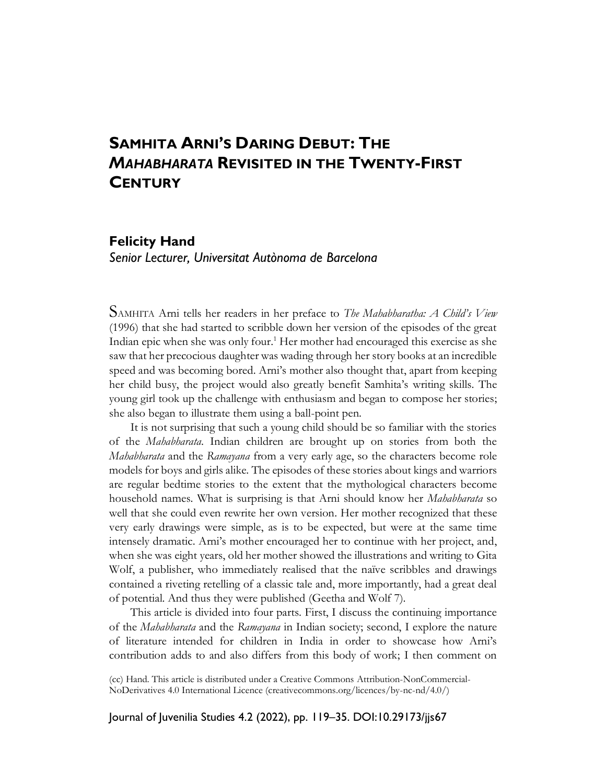# **SAMHITA ARNI'S DARING DEBUT: THE** *MAHABHARATA* **REVISITED IN THE TWENTY-FIRST CENTURY**

# **Felicity Hand**

*Senior Lecturer, Universitat Autònoma de Barcelona*

SAMHITA Arni tells her readers in her preface to *The Mahabharatha: A Child's View* (1996) that she had started to scribble down her version of the episodes of the great Indian epic when she was only four.<sup>1</sup> Her mother had encouraged this exercise as she saw that her precocious daughter was wading through her story books at an incredible speed and was becoming bored. Arni's mother also thought that, apart from keeping her child busy, the project would also greatly benefit Samhita's writing skills. The young girl took up the challenge with enthusiasm and began to compose her stories; she also began to illustrate them using a ball-point pen.

It is not surprising that such a young child should be so familiar with the stories of the *Mahabharata*. Indian children are brought up on stories from both the *Mahabharata* and the *Ramayana* from a very early age, so the characters become role models for boys and girls alike. The episodes of these stories about kings and warriors are regular bedtime stories to the extent that the mythological characters become household names. What is surprising is that Arni should know her *Mahabharata* so well that she could even rewrite her own version. Her mother recognized that these very early drawings were simple, as is to be expected, but were at the same time intensely dramatic. Arni's mother encouraged her to continue with her project, and, when she was eight years, old her mother showed the illustrations and writing to Gita Wolf, a publisher, who immediately realised that the naïve scribbles and drawings contained a riveting retelling of a classic tale and, more importantly, had a great deal of potential. And thus they were published (Geetha and Wolf 7).

This article is divided into four parts. First, I discuss the continuing importance of the *Mahabharata* and the *Ramayana* in Indian society; second, I explore the nature of literature intended for children in India in order to showcase how Arni's contribution adds to and also differs from this body of work; I then comment on

(cc) Hand. This article is distributed under a Creative Commons Attribution-NonCommercial-NoDerivatives 4.0 International Licence (creativecommons.org/licences/by-nc-nd/4.0/)

Journal of Juvenilia Studies 4.2 (2022), pp. 119–35. DOI:10.29173/jjs67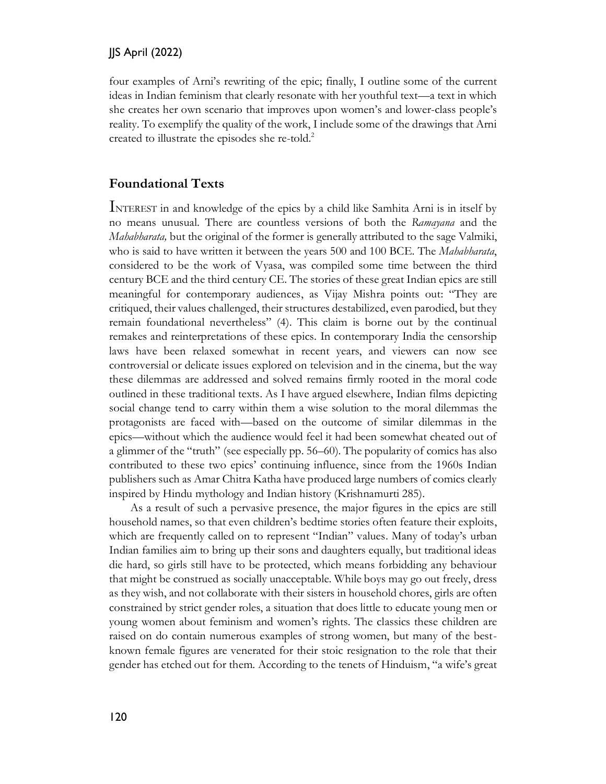four examples of Arni's rewriting of the epic; finally, I outline some of the current ideas in Indian feminism that clearly resonate with her youthful text—a text in which she creates her own scenario that improves upon women's and lower-class people's reality. To exemplify the quality of the work, I include some of the drawings that Arni created to illustrate the episodes she re-told. 2

### **Foundational Texts**

INTEREST in and knowledge of the epics by a child like Samhita Arni is in itself by no means unusual. There are countless versions of both the *Ramayana* and the *Mahabharata,* but the original of the former is generally attributed to the sage Valmiki, who is said to have written it between the years 500 and 100 BCE. The *Mahabharata*, considered to be the work of Vyasa, was compiled some time between the third century BCE and the third century CE. The stories of these great Indian epics are still meaningful for contemporary audiences, as Vijay Mishra points out: "They are critiqued, their values challenged, their structures destabilized, even parodied, but they remain foundational nevertheless" (4). This claim is borne out by the continual remakes and reinterpretations of these epics. In contemporary India the censorship laws have been relaxed somewhat in recent years, and viewers can now see controversial or delicate issues explored on television and in the cinema, but the way these dilemmas are addressed and solved remains firmly rooted in the moral code outlined in these traditional texts. As I have argued elsewhere, Indian films depicting social change tend to carry within them a wise solution to the moral dilemmas the protagonists are faced with—based on the outcome of similar dilemmas in the epics—without which the audience would feel it had been somewhat cheated out of a glimmer of the "truth" (see especially pp. 56–60). The popularity of comics has also contributed to these two epics' continuing influence, since from the 1960s Indian publishers such as Amar Chitra Katha have produced large numbers of comics clearly inspired by Hindu mythology and Indian history (Krishnamurti 285).

As a result of such a pervasive presence, the major figures in the epics are still household names, so that even children's bedtime stories often feature their exploits, which are frequently called on to represent "Indian" values. Many of today's urban Indian families aim to bring up their sons and daughters equally, but traditional ideas die hard, so girls still have to be protected, which means forbidding any behaviour that might be construed as socially unacceptable. While boys may go out freely, dress as they wish, and not collaborate with their sisters in household chores, girls are often constrained by strict gender roles, a situation that does little to educate young men or young women about feminism and women's rights. The classics these children are raised on do contain numerous examples of strong women, but many of the bestknown female figures are venerated for their stoic resignation to the role that their gender has etched out for them. According to the tenets of Hinduism, "a wife's great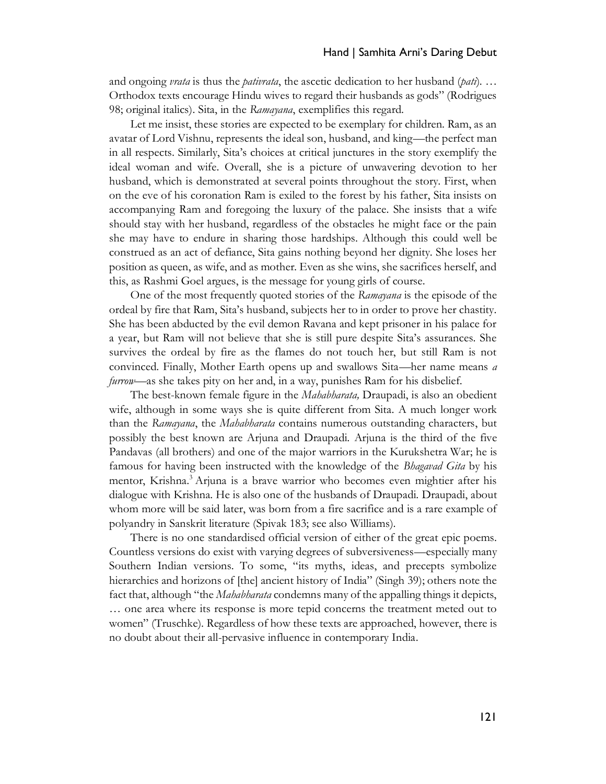and ongoing *vrata* is thus the *pativrata*, the ascetic dedication to her husband (*pati*). … Orthodox texts encourage Hindu wives to regard their husbands as gods" (Rodrigues 98; original italics). Sita, in the *Ramayana*, exemplifies this regard.

Let me insist, these stories are expected to be exemplary for children. Ram, as an avatar of Lord Vishnu, represents the ideal son, husband, and king—the perfect man in all respects. Similarly, Sita's choices at critical junctures in the story exemplify the ideal woman and wife. Overall, she is a picture of unwavering devotion to her husband, which is demonstrated at several points throughout the story. First, when on the eve of his coronation Ram is exiled to the forest by his father, Sita insists on accompanying Ram and foregoing the luxury of the palace. She insists that a wife should stay with her husband, regardless of the obstacles he might face or the pain she may have to endure in sharing those hardships. Although this could well be construed as an act of defiance, Sita gains nothing beyond her dignity. She loses her position as queen, as wife, and as mother. Even as she wins, she sacrifices herself, and this, as Rashmi Goel argues, is the message for young girls of course.

One of the most frequently quoted stories of the *Ramayana* is the episode of the ordeal by fire that Ram, Sita's husband, subjects her to in order to prove her chastity. She has been abducted by the evil demon Ravana and kept prisoner in his palace for a year, but Ram will not believe that she is still pure despite Sita's assurances. She survives the ordeal by fire as the flames do not touch her, but still Ram is not convinced. Finally, Mother Earth opens up and swallows Sita—her name means *a furrow*—as she takes pity on her and, in a way, punishes Ram for his disbelief.

The best-known female figure in the *Mahabharata,* Draupadi, is also an obedient wife, although in some ways she is quite different from Sita. A much longer work than the *Ramayana*, the *Mahabharata* contains numerous outstanding characters, but possibly the best known are Arjuna and Draupadi. Arjuna is the third of the five Pandavas (all brothers) and one of the major warriors in the Kurukshetra War; he is famous for having been instructed with the knowledge of the *Bhagavad Gita* by his mentor, Krishna.<sup>3</sup> Arjuna is a brave warrior who becomes even mightier after his dialogue with Krishna. He is also one of the husbands of Draupadi. Draupadi, about whom more will be said later, was born from a fire sacrifice and is a rare example of polyandry in Sanskrit literature (Spivak 183; see also Williams).

There is no one standardised official version of either of the great epic poems. Countless versions do exist with varying degrees of subversiveness—especially many Southern Indian versions. To some, "its myths, ideas, and precepts symbolize hierarchies and horizons of [the] ancient history of India" (Singh 39); others note the fact that, although "the *Mahabharata* condemns many of the appalling things it depicts, … one area where its response is more tepid concerns the treatment meted out to women" (Truschke). Regardless of how these texts are approached, however, there is no doubt about their all-pervasive influence in contemporary India.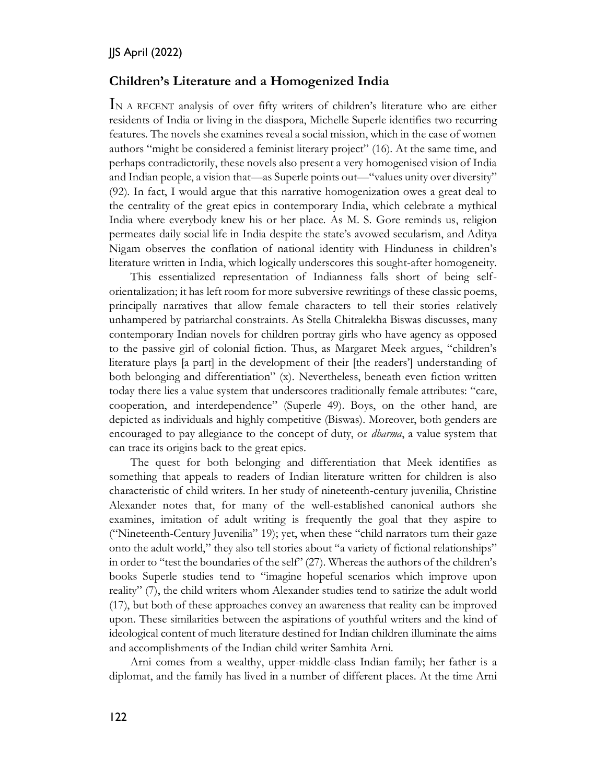### **Children's Literature and a Homogenized India**

IN A RECENT analysis of over fifty writers of children's literature who are either residents of India or living in the diaspora, Michelle Superle identifies two recurring features. The novels she examines reveal a social mission, which in the case of women authors "might be considered a feminist literary project" (16). At the same time, and perhaps contradictorily, these novels also present a very homogenised vision of India and Indian people, a vision that—as Superle points out—"values unity over diversity" (92). In fact, I would argue that this narrative homogenization owes a great deal to the centrality of the great epics in contemporary India, which celebrate a mythical India where everybody knew his or her place. As M. S. Gore reminds us, religion permeates daily social life in India despite the state's avowed secularism, and Aditya Nigam observes the conflation of national identity with Hinduness in children's literature written in India, which logically underscores this sought-after homogeneity.

This essentialized representation of Indianness falls short of being selforientalization; it has left room for more subversive rewritings of these classic poems, principally narratives that allow female characters to tell their stories relatively unhampered by patriarchal constraints. As Stella Chitralekha Biswas discusses, many contemporary Indian novels for children portray girls who have agency as opposed to the passive girl of colonial fiction. Thus, as Margaret Meek argues, "children's literature plays [a part] in the development of their [the readers'] understanding of both belonging and differentiation" (x). Nevertheless, beneath even fiction written today there lies a value system that underscores traditionally female attributes: "care, cooperation, and interdependence" (Superle 49). Boys, on the other hand, are depicted as individuals and highly competitive (Biswas). Moreover, both genders are encouraged to pay allegiance to the concept of duty, or *dharma*, a value system that can trace its origins back to the great epics.

The quest for both belonging and differentiation that Meek identifies as something that appeals to readers of Indian literature written for children is also characteristic of child writers. In her study of nineteenth-century juvenilia, Christine Alexander notes that, for many of the well-established canonical authors she examines, imitation of adult writing is frequently the goal that they aspire to ("Nineteenth-Century Juvenilia" 19); yet, when these "child narrators turn their gaze onto the adult world," they also tell stories about "a variety of fictional relationships" in order to "test the boundaries of the self" (27). Whereas the authors of the children's books Superle studies tend to "imagine hopeful scenarios which improve upon reality" (7), the child writers whom Alexander studies tend to satirize the adult world (17), but both of these approaches convey an awareness that reality can be improved upon. These similarities between the aspirations of youthful writers and the kind of ideological content of much literature destined for Indian children illuminate the aims and accomplishments of the Indian child writer Samhita Arni.

Arni comes from a wealthy, upper-middle-class Indian family; her father is a diplomat, and the family has lived in a number of different places. At the time Arni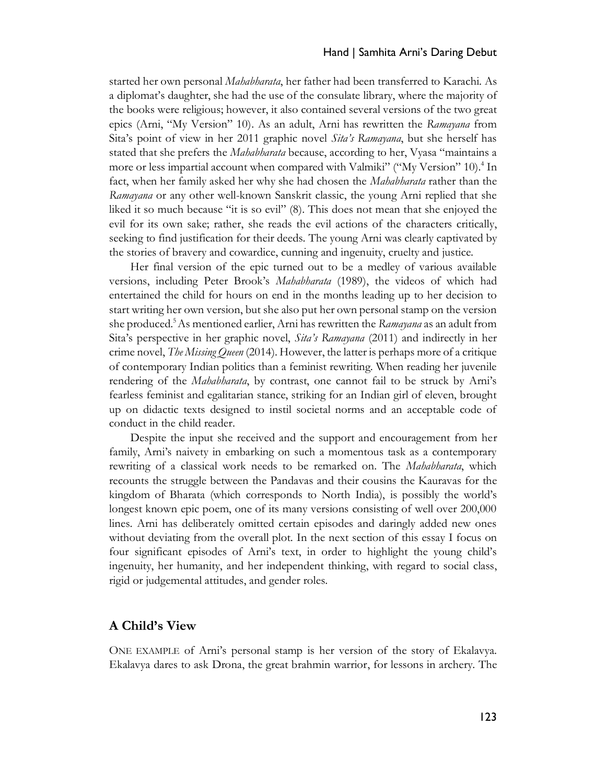#### Hand | Samhita Arni's Daring Debut

started her own personal *Mahabharata*, her father had been transferred to Karachi. As a diplomat's daughter, she had the use of the consulate library, where the majority of the books were religious; however, it also contained several versions of the two great epics (Arni, "My Version" 10). As an adult, Arni has rewritten the *Ramayana* from Sita's point of view in her 2011 graphic novel *Sita's Ramayana*, but she herself has stated that she prefers the *Mahabharata* because, according to her, Vyasa "maintains a more or less impartial account when compared with Valmiki" ("My Version" 10).<sup>4</sup> In fact, when her family asked her why she had chosen the *Mahabharata* rather than the *Ramayana* or any other well-known Sanskrit classic, the young Arni replied that she liked it so much because "it is so evil" (8). This does not mean that she enjoyed the evil for its own sake; rather, she reads the evil actions of the characters critically, seeking to find justification for their deeds. The young Arni was clearly captivated by the stories of bravery and cowardice, cunning and ingenuity, cruelty and justice.

Her final version of the epic turned out to be a medley of various available versions, including Peter Brook's *Mahabharata* (1989), the videos of which had entertained the child for hours on end in the months leading up to her decision to start writing her own version, but she also put her own personal stamp on the version she produced. <sup>5</sup>As mentioned earlier, Arni has rewritten the *Ramayana* as an adult from Sita's perspective in her graphic novel, *Sita's Ramayana* (2011) and indirectly in her crime novel, *The Missing Queen* (2014). However, the latter is perhaps more of a critique of contemporary Indian politics than a feminist rewriting. When reading her juvenile rendering of the *Mahabharata*, by contrast, one cannot fail to be struck by Arni's fearless feminist and egalitarian stance, striking for an Indian girl of eleven, brought up on didactic texts designed to instil societal norms and an acceptable code of conduct in the child reader.

Despite the input she received and the support and encouragement from her family, Arni's naivety in embarking on such a momentous task as a contemporary rewriting of a classical work needs to be remarked on. The *Mahabharata*, which recounts the struggle between the Pandavas and their cousins the Kauravas for the kingdom of Bharata (which corresponds to North India), is possibly the world's longest known epic poem, one of its many versions consisting of well over 200,000 lines. Arni has deliberately omitted certain episodes and daringly added new ones without deviating from the overall plot. In the next section of this essay I focus on four significant episodes of Arni's text, in order to highlight the young child's ingenuity, her humanity, and her independent thinking, with regard to social class, rigid or judgemental attitudes, and gender roles.

### **A Child's View**

ONE EXAMPLE of Arni's personal stamp is her version of the story of Ekalavya. Ekalavya dares to ask Drona, the great brahmin warrior, for lessons in archery. The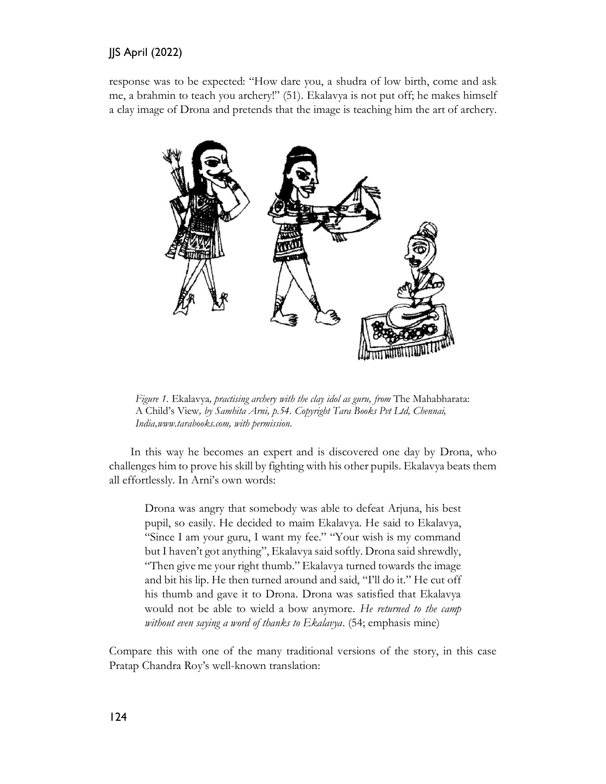response was to be expected: "How dare you, a shudra of low birth, come and ask me, a brahmin to teach you archery!" (51). Ekalavya is not put off; he makes himself a clay image of Drona and pretends that the image is teaching him the art of archery.



*Figure 1.* Ekalavya*, practising archery with the clay idol as guru, from* The Mahabharata: A Child's View*, by Samhita Arni, p.54. Copyright Tara Books Pvt Ltd, Chennai, India,www.tarabooks.com, with permission*.

In this way he becomes an expert and is discovered one day by Drona, who challenges him to prove his skill by fighting with his other pupils. Ekalavya beats them all effortlessly. In Arni's own words:

Drona was angry that somebody was able to defeat Arjuna, his best pupil, so easily. He decided to maim Ekalavya. He said to Ekalavya, "Since I am your guru, I want my fee." "Your wish is my command but I haven't got anything", Ekalavya said softly. Drona said shrewdly, "Then give me your right thumb." Ekalavya turned towards the image and bit his lip. He then turned around and said, "I'll do it." He cut off his thumb and gave it to Drona. Drona was satisfied that Ekalavya would not be able to wield a bow anymore. *He returned to the camp without even saying a word of thanks to Ekalavya*. (54; emphasis mine)

Compare this with one of the many traditional versions of the story, in this case Pratap Chandra Roy's well-known translation: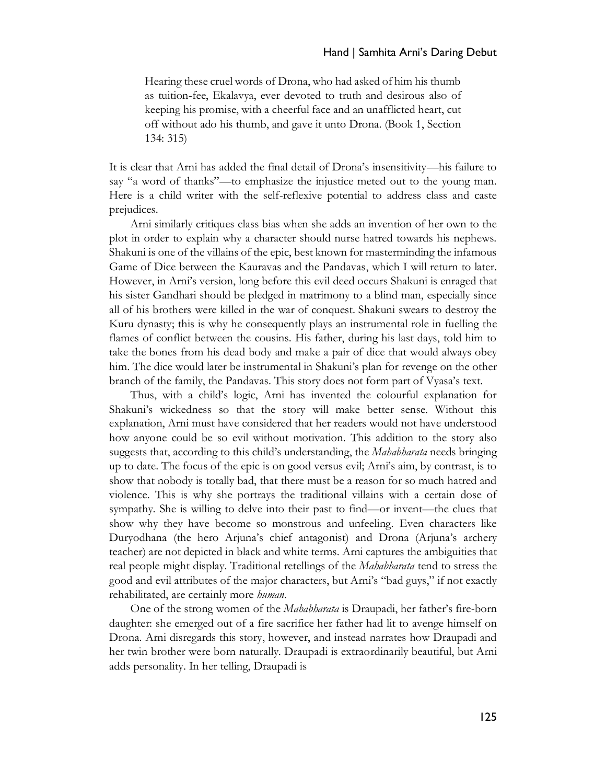Hearing these cruel words of Drona, who had asked of him his thumb as tuition-fee, Ekalavya, ever devoted to truth and desirous also of keeping his promise, with a cheerful face and an unafflicted heart, cut off without ado his thumb, and gave it unto Drona. (Book 1, Section 134: 315)

It is clear that Arni has added the final detail of Drona's insensitivity—his failure to say "a word of thanks"—to emphasize the injustice meted out to the young man. Here is a child writer with the self-reflexive potential to address class and caste prejudices.

Arni similarly critiques class bias when she adds an invention of her own to the plot in order to explain why a character should nurse hatred towards his nephews. Shakuni is one of the villains of the epic, best known for masterminding the infamous Game of Dice between the Kauravas and the Pandavas, which I will return to later. However, in Arni's version, long before this evil deed occurs Shakuni is enraged that his sister Gandhari should be pledged in matrimony to a blind man, especially since all of his brothers were killed in the war of conquest. Shakuni swears to destroy the Kuru dynasty; this is why he consequently plays an instrumental role in fuelling the flames of conflict between the cousins. His father, during his last days, told him to take the bones from his dead body and make a pair of dice that would always obey him. The dice would later be instrumental in Shakuni's plan for revenge on the other branch of the family, the Pandavas. This story does not form part of Vyasa's text.

Thus, with a child's logic, Arni has invented the colourful explanation for Shakuni's wickedness so that the story will make better sense. Without this explanation, Arni must have considered that her readers would not have understood how anyone could be so evil without motivation. This addition to the story also suggests that, according to this child's understanding, the *Mahabharata* needs bringing up to date. The focus of the epic is on good versus evil; Arni's aim, by contrast, is to show that nobody is totally bad, that there must be a reason for so much hatred and violence. This is why she portrays the traditional villains with a certain dose of sympathy. She is willing to delve into their past to find—or invent—the clues that show why they have become so monstrous and unfeeling. Even characters like Duryodhana (the hero Arjuna's chief antagonist) and Drona (Arjuna's archery teacher) are not depicted in black and white terms. Arni captures the ambiguities that real people might display. Traditional retellings of the *Mahabharata* tend to stress the good and evil attributes of the major characters, but Arni's "bad guys," if not exactly rehabilitated, are certainly more *human*.

One of the strong women of the *Mahabharata* is Draupadi, her father's fire-born daughter: she emerged out of a fire sacrifice her father had lit to avenge himself on Drona. Arni disregards this story, however, and instead narrates how Draupadi and her twin brother were born naturally. Draupadi is extraordinarily beautiful, but Arni adds personality. In her telling, Draupadi is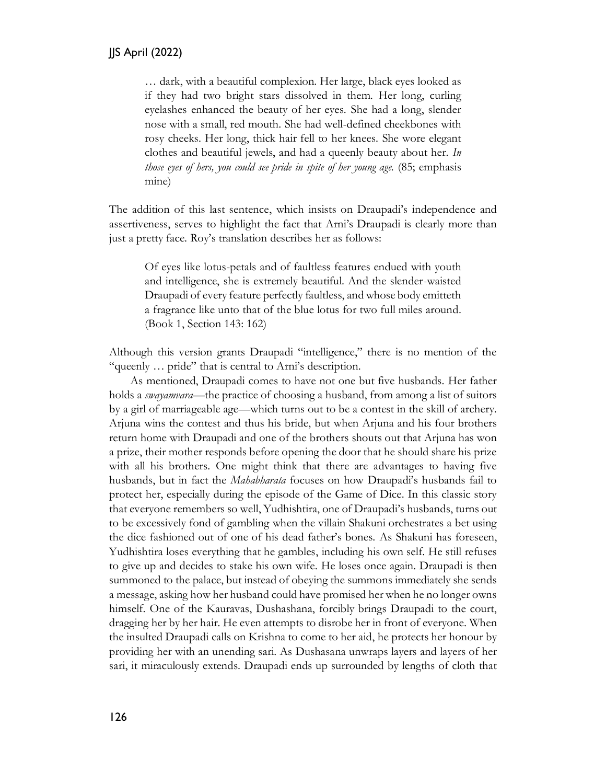… dark, with a beautiful complexion. Her large, black eyes looked as if they had two bright stars dissolved in them. Her long, curling eyelashes enhanced the beauty of her eyes. She had a long, slender nose with a small, red mouth. She had well-defined cheekbones with rosy cheeks. Her long, thick hair fell to her knees. She wore elegant clothes and beautiful jewels, and had a queenly beauty about her. *In those eyes of hers, you could see pride in spite of her young age.* (85; emphasis mine)

The addition of this last sentence, which insists on Draupadi's independence and assertiveness, serves to highlight the fact that Arni's Draupadi is clearly more than just a pretty face. Roy's translation describes her as follows:

Of eyes like lotus-petals and of faultless features endued with youth and intelligence, she is extremely beautiful. And the slender-waisted Draupadi of every feature perfectly faultless, and whose body emitteth a fragrance like unto that of the blue lotus for two full miles around. (Book 1, Section 143: 162)

Although this version grants Draupadi "intelligence," there is no mention of the "queenly … pride" that is central to Arni's description.

As mentioned, Draupadi comes to have not one but five husbands. Her father holds a *swayamvara*—the practice of choosing a husband, from among a list of suitors by a girl of marriageable age—which turns out to be a contest in the skill of archery. Arjuna wins the contest and thus his bride, but when Arjuna and his four brothers return home with Draupadi and one of the brothers shouts out that Arjuna has won a prize, their mother responds before opening the door that he should share his prize with all his brothers. One might think that there are advantages to having five husbands, but in fact the *Mahabharata* focuses on how Draupadi's husbands fail to protect her, especially during the episode of the Game of Dice. In this classic story that everyone remembers so well, Yudhishtira, one of Draupadi's husbands, turns out to be excessively fond of gambling when the villain Shakuni orchestrates a bet using the dice fashioned out of one of his dead father's bones. As Shakuni has foreseen, Yudhishtira loses everything that he gambles, including his own self. He still refuses to give up and decides to stake his own wife. He loses once again. Draupadi is then summoned to the palace, but instead of obeying the summons immediately she sends a message, asking how her husband could have promised her when he no longer owns himself. One of the Kauravas, Dushashana, forcibly brings Draupadi to the court, dragging her by her hair. He even attempts to disrobe her in front of everyone. When the insulted Draupadi calls on Krishna to come to her aid, he protects her honour by providing her with an unending sari. As Dushasana unwraps layers and layers of her sari, it miraculously extends. Draupadi ends up surrounded by lengths of cloth that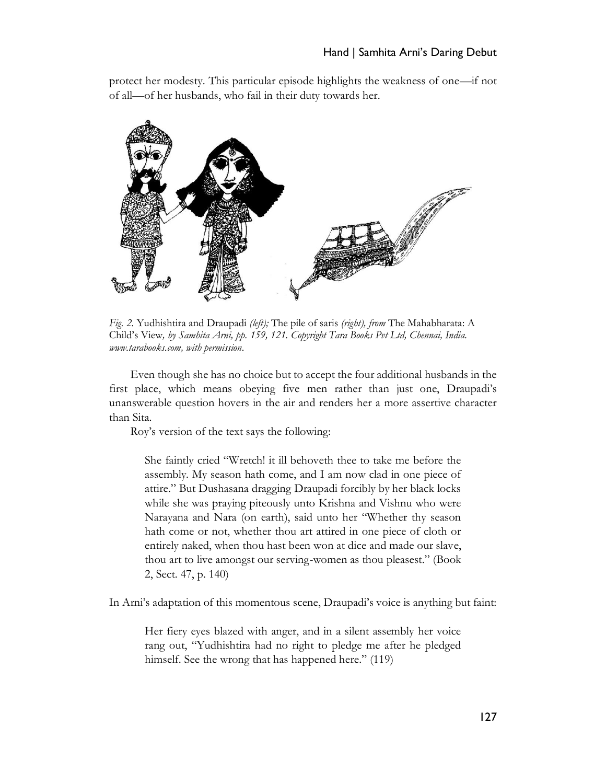protect her modesty. This particular episode highlights the weakness of one—if not of all—of her husbands, who fail in their duty towards her.



*Fig. 2.* Yudhishtira and Draupadi *(left);* The pile of saris *(right), from* The Mahabharata: A Child's View*, by Samhita Arni, pp. 159, 121. Copyright Tara Books Pvt Ltd, Chennai, India. [www.tarabooks.com,](http://www.tarabooks.com/) with permission*.

Even though she has no choice but to accept the four additional husbands in the first place, which means obeying five men rather than just one, Draupadi's unanswerable question hovers in the air and renders her a more assertive character than Sita.

Roy's version of the text says the following:

She faintly cried "Wretch! it ill behoveth thee to take me before the assembly. My season hath come, and I am now clad in one piece of attire." But Dushasana dragging Draupadi forcibly by her black locks while she was praying piteously unto Krishna and Vishnu who were Narayana and Nara (on earth), said unto her "Whether thy season hath come or not, whether thou art attired in one piece of cloth or entirely naked, when thou hast been won at dice and made our slave, thou art to live amongst our serving-women as thou pleasest." (Book 2, Sect. 47, p. 140)

In Arni's adaptation of this momentous scene, Draupadi's voice is anything but faint:

Her fiery eyes blazed with anger, and in a silent assembly her voice rang out, "Yudhishtira had no right to pledge me after he pledged himself. See the wrong that has happened here." (119)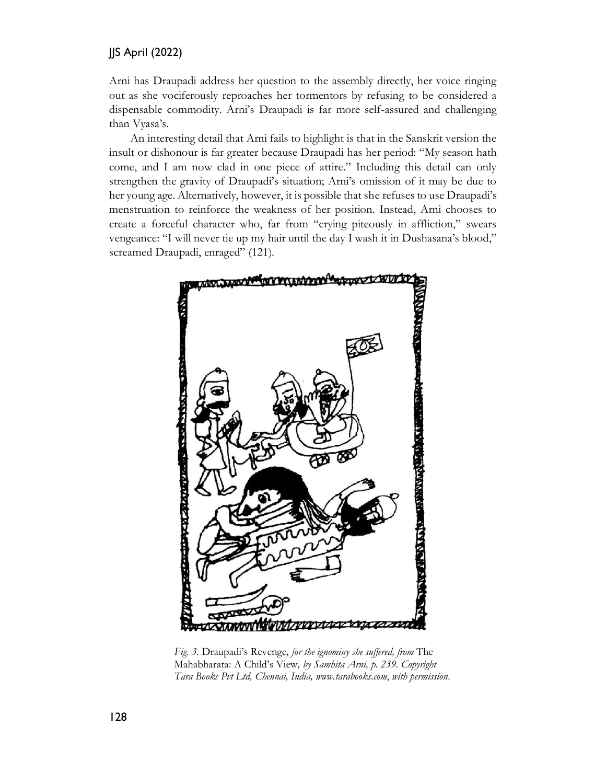Arni has Draupadi address her question to the assembly directly, her voice ringing out as she vociferously reproaches her tormentors by refusing to be considered a dispensable commodity. Arni's Draupadi is far more self-assured and challenging than Vyasa's.

An interesting detail that Arni fails to highlight is that in the Sanskrit version the insult or dishonour is far greater because Draupadi has her period: "My season hath come, and I am now clad in one piece of attire." Including this detail can only strengthen the gravity of Draupadi's situation; Arni's omission of it may be due to her young age. Alternatively, however, it is possible that she refuses to use Draupadi's menstruation to reinforce the weakness of her position. Instead, Arni chooses to create a forceful character who, far from "crying piteously in affliction," swears vengeance: "I will never tie up my hair until the day I wash it in Dushasana's blood," screamed Draupadi, enraged" (121).



 *Fig. 3.* Draupadi's Revenge*, for the ignominy she suffered, from* The Mahabharata: A Child's View*, by Samhita Arni, p. 239. Copyright Tara Books Pvt Ltd, Chennai, India, [www.tarabooks.com](http://www.tarabooks.com/)*, *with permission*.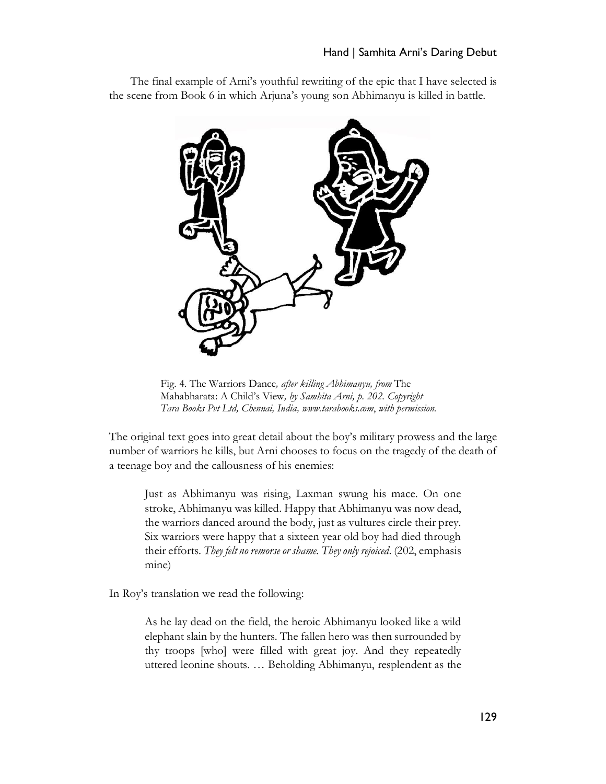# Hand | Samhita Arni's Daring Debut

The final example of Arni's youthful rewriting of the epic that I have selected is the scene from Book 6 in which Arjuna's young son Abhimanyu is killed in battle.



 Fig. 4. The Warriors Dance*, after killing Abhimanyu, from* The Mahabharata: A Child's View*, by Samhita Arni, p. 202. Copyright Tara Books Pvt Ltd, Chennai, India, [www.tarabooks.com](http://www.tarabooks.com/)*, *with permission.*

The original text goes into great detail about the boy's military prowess and the large number of warriors he kills, but Arni chooses to focus on the tragedy of the death of a teenage boy and the callousness of his enemies:

Just as Abhimanyu was rising, Laxman swung his mace. On one stroke, Abhimanyu was killed. Happy that Abhimanyu was now dead, the warriors danced around the body, just as vultures circle their prey. Six warriors were happy that a sixteen year old boy had died through their efforts. *They felt no remorse or shame. They only rejoiced*. (202, emphasis mine)

In Roy's translation we read the following:

As he lay dead on the field, the heroic Abhimanyu looked like a wild elephant slain by the hunters. The fallen hero was then surrounded by thy troops [who] were filled with great joy. And they repeatedly uttered leonine shouts. … Beholding Abhimanyu, resplendent as the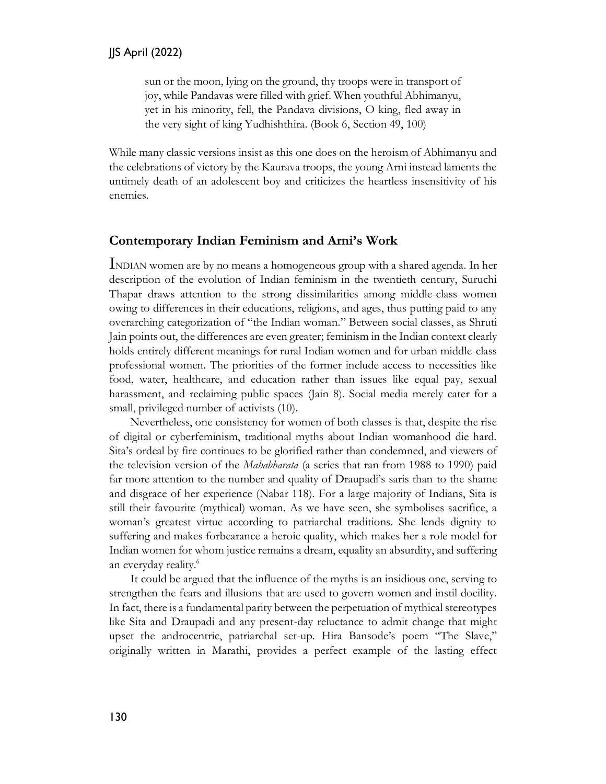sun or the moon, lying on the ground, thy troops were in transport of joy, while Pandavas were filled with grief. When youthful Abhimanyu, yet in his minority, fell, the Pandava divisions, O king, fled away in the very sight of king Yudhishthira. (Book 6, Section 49, 100)

While many classic versions insist as this one does on the heroism of Abhimanyu and the celebrations of victory by the Kaurava troops, the young Arni instead laments the untimely death of an adolescent boy and criticizes the heartless insensitivity of his enemies.

# **Contemporary Indian Feminism and Arni's Work**

INDIAN women are by no means a homogeneous group with a shared agenda. In her description of the evolution of Indian feminism in the twentieth century, Suruchi Thapar draws attention to the strong dissimilarities among middle-class women owing to differences in their educations, religions, and ages, thus putting paid to any overarching categorization of "the Indian woman." Between social classes, as Shruti Jain points out, the differences are even greater; feminism in the Indian context clearly holds entirely different meanings for rural Indian women and for urban middle-class professional women. The priorities of the former include access to necessities like food, water, healthcare, and education rather than issues like equal pay, sexual harassment, and reclaiming public spaces (Jain 8). Social media merely cater for a small, privileged number of activists (10).

Nevertheless, one consistency for women of both classes is that, despite the rise of digital or cyberfeminism, traditional myths about Indian womanhood die hard. Sita's ordeal by fire continues to be glorified rather than condemned, and viewers of the television version of the *Mahabharata* (a series that ran from 1988 to 1990) paid far more attention to the number and quality of Draupadi's saris than to the shame and disgrace of her experience (Nabar 118). For a large majority of Indians, Sita is still their favourite (mythical) woman. As we have seen, she symbolises sacrifice, a woman's greatest virtue according to patriarchal traditions. She lends dignity to suffering and makes forbearance a heroic quality, which makes her a role model for Indian women for whom justice remains a dream, equality an absurdity, and suffering an everyday reality.<sup>6</sup>

It could be argued that the influence of the myths is an insidious one, serving to strengthen the fears and illusions that are used to govern women and instil docility. In fact, there is a fundamental parity between the perpetuation of mythical stereotypes like Sita and Draupadi and any present-day reluctance to admit change that might upset the androcentric, patriarchal set-up. Hira Bansode's poem "The Slave," originally written in Marathi, provides a perfect example of the lasting effect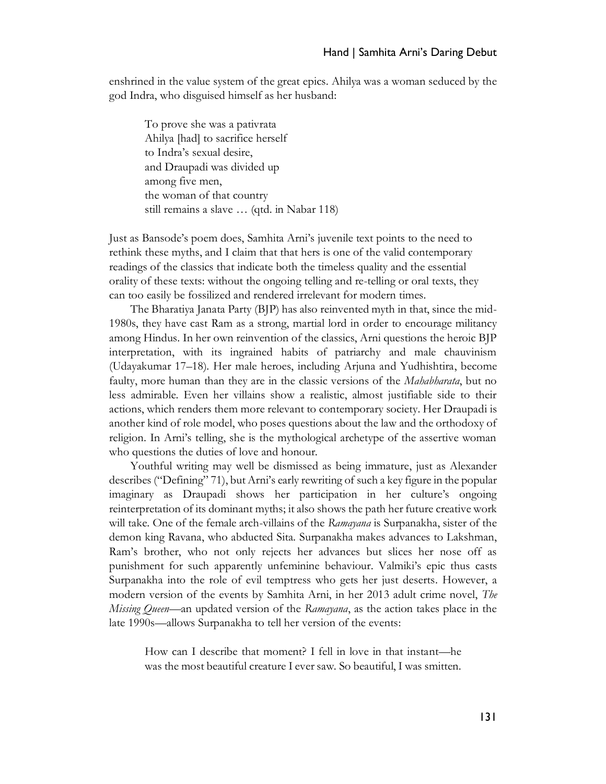enshrined in the value system of the great epics. Ahilya was a woman seduced by the god Indra, who disguised himself as her husband:

To prove she was a pativrata Ahilya [had] to sacrifice herself to Indra's sexual desire, and Draupadi was divided up among five men, the woman of that country still remains a slave … (qtd. in Nabar 118)

Just as Bansode's poem does, Samhita Arni's juvenile text points to the need to rethink these myths, and I claim that that hers is one of the valid contemporary readings of the classics that indicate both the timeless quality and the essential orality of these texts: without the ongoing telling and re-telling or oral texts, they can too easily be fossilized and rendered irrelevant for modern times.

The Bharatiya Janata Party (BJP) has also reinvented myth in that, since the mid-1980s, they have cast Ram as a strong, martial lord in order to encourage militancy among Hindus. In her own reinvention of the classics, Arni questions the heroic BJP interpretation, with its ingrained habits of patriarchy and male chauvinism (Udayakumar 17–18). Her male heroes, including Arjuna and Yudhishtira, become faulty, more human than they are in the classic versions of the *Mahabharata*, but no less admirable. Even her villains show a realistic, almost justifiable side to their actions, which renders them more relevant to contemporary society. Her Draupadi is another kind of role model, who poses questions about the law and the orthodoxy of religion. In Arni's telling, she is the mythological archetype of the assertive woman who questions the duties of love and honour.

Youthful writing may well be dismissed as being immature, just as Alexander describes ("Defining" 71), but Arni's early rewriting of such a key figure in the popular imaginary as Draupadi shows her participation in her culture's ongoing reinterpretation of its dominant myths; it also shows the path her future creative work will take. One of the female arch-villains of the *Ramayana* is Surpanakha, sister of the demon king Ravana, who abducted Sita. Surpanakha makes advances to Lakshman, Ram's brother, who not only rejects her advances but slices her nose off as punishment for such apparently unfeminine behaviour. Valmiki's epic thus casts Surpanakha into the role of evil temptress who gets her just deserts. However, a modern version of the events by Samhita Arni, in her 2013 adult crime novel, *The Missing Queen*—an updated version of the *Ramayana*, as the action takes place in the late 1990s—allows Surpanakha to tell her version of the events:

How can I describe that moment? I fell in love in that instant—he was the most beautiful creature I ever saw. So beautiful, I was smitten.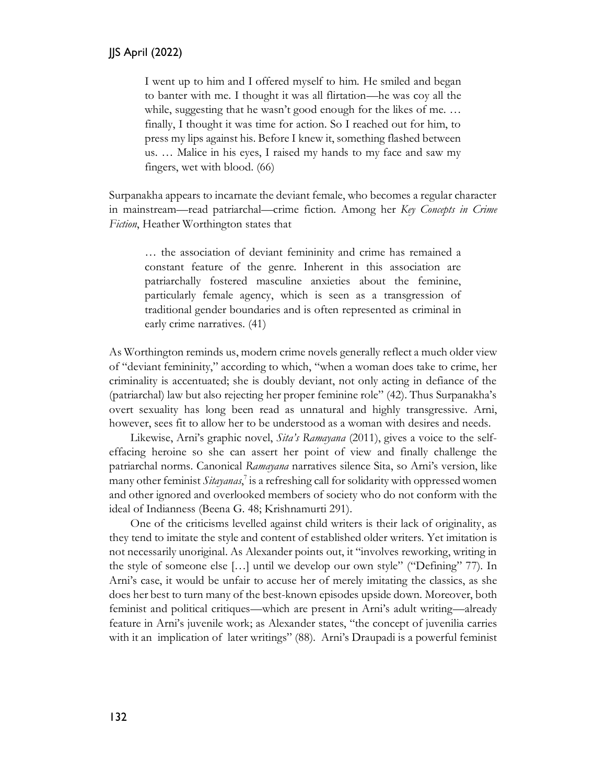I went up to him and I offered myself to him. He smiled and began to banter with me. I thought it was all flirtation—he was coy all the while, suggesting that he wasn't good enough for the likes of me. … finally, I thought it was time for action. So I reached out for him, to press my lips against his. Before I knew it, something flashed between us. … Malice in his eyes, I raised my hands to my face and saw my fingers, wet with blood. (66)

Surpanakha appears to incarnate the deviant female, who becomes a regular character in mainstream—read patriarchal—crime fiction. Among her *Key Concepts in Crime Fiction*, Heather Worthington states that

… the association of deviant femininity and crime has remained a constant feature of the genre. Inherent in this association are patriarchally fostered masculine anxieties about the feminine, particularly female agency, which is seen as a transgression of traditional gender boundaries and is often represented as criminal in early crime narratives. (41)

As Worthington reminds us, modern crime novels generally reflect a much older view of "deviant femininity," according to which, "when a woman does take to crime, her criminality is accentuated; she is doubly deviant, not only acting in defiance of the (patriarchal) law but also rejecting her proper feminine role" (42). Thus Surpanakha's overt sexuality has long been read as unnatural and highly transgressive. Arni, however, sees fit to allow her to be understood as a woman with desires and needs.

Likewise, Arni's graphic novel, *Sita's Ramayana* (2011), gives a voice to the selfeffacing heroine so she can assert her point of view and finally challenge the patriarchal norms. Canonical *Ramayana* narratives silence Sita, so Arni's version, like many other feminist *Sitayanas*, 7 is a refreshing call for solidarity with oppressed women and other ignored and overlooked members of society who do not conform with the ideal of Indianness (Beena G. 48; Krishnamurti 291).

One of the criticisms levelled against child writers is their lack of originality, as they tend to imitate the style and content of established older writers. Yet imitation is not necessarily unoriginal. As Alexander points out, it "involves reworking, writing in the style of someone else […] until we develop our own style" ("Defining" 77). In Arni's case, it would be unfair to accuse her of merely imitating the classics, as she does her best to turn many of the best-known episodes upside down. Moreover, both feminist and political critiques—which are present in Arni's adult writing—already feature in Arni's juvenile work; as Alexander states, "the concept of juvenilia carries with it an implication of later writings" (88). Arni's Draupadi is a powerful feminist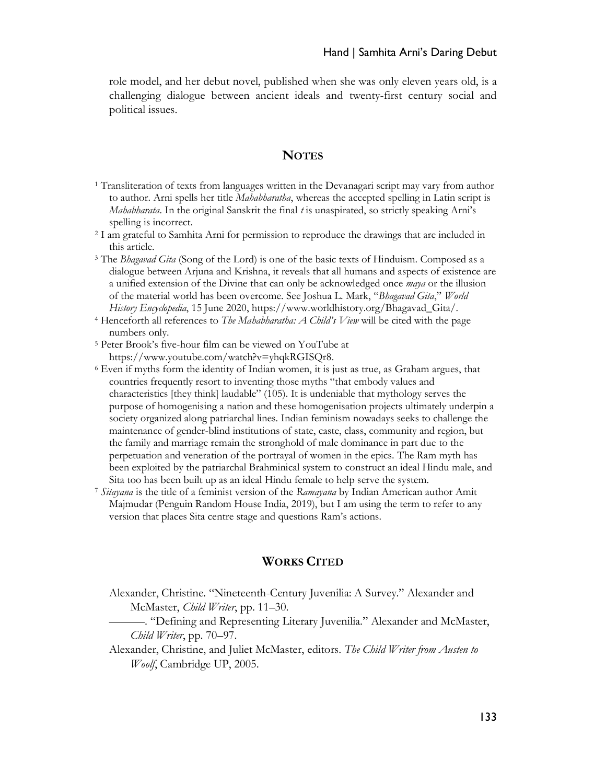role model, and her debut novel, published when she was only eleven years old, is a challenging dialogue between ancient ideals and twenty-first century social and political issues.

# **NOTES**

- <sup>1</sup> Transliteration of texts from languages written in the Devanagari script may vary from author to author. Arni spells her title *Mahabharatha*, whereas the accepted spelling in Latin script is *Mahabharata*. In the original Sanskrit the final *t* is unaspirated, so strictly speaking Arni's spelling is incorrect.
- <sup>2</sup> I am grateful to Samhita Arni for permission to reproduce the drawings that are included in this article.
- <sup>3</sup> The *Bhagavad Gita* (Song of the Lord) is one of the basic texts of Hinduism. Composed as a dialogue between Arjuna and Krishna, it reveals that all humans and aspects of existence are a unified extension of the Divine that can only be acknowledged once *maya* or the illusion of the material world has been overcome. See Joshua L. Mark, "*Bhagavad Gita*," *World History Encyclopedia*, 15 June 2020, https://www.worldhistory.org/Bhagavad\_Gita/.
- <sup>4</sup> Henceforth all references to *The Mahabharatha: A Child's View* will be cited with the page numbers only.
- <sup>5</sup> Peter Brook's five-hour film can be viewed on YouTube at https://www.youtube.com/watch?v=yhqkRGISQr8.
- $6$  Even if myths form the identity of Indian women, it is just as true, as Graham argues, that countries frequently resort to inventing those myths "that embody values and characteristics [they think] laudable" (105). It is undeniable that mythology serves the purpose of homogenising a nation and these homogenisation projects ultimately underpin a society organized along patriarchal lines. Indian feminism nowadays seeks to challenge the maintenance of gender-blind institutions of state, caste, class, community and region, but the family and marriage remain the stronghold of male dominance in part due to the perpetuation and veneration of the portrayal of women in the epics. The Ram myth has been exploited by the patriarchal Brahminical system to construct an ideal Hindu male, and Sita too has been built up as an ideal Hindu female to help serve the system.
- <sup>7</sup> *Sitayana* is the title of a feminist version of the *Ramayana* by Indian American author Amit Majmudar (Penguin Random House India, 2019), but I am using the term to refer to any version that places Sita centre stage and questions Ram's actions.

### **WORKS CITED**

- Alexander, Christine. "Nineteenth-Century Juvenilia: A Survey." Alexander and McMaster, *Child Writer*, pp. 11–30.
	- ———. "Defining and Representing Literary Juvenilia." Alexander and McMaster, *Child Writer*, pp. 70–97.
- Alexander, Christine, and Juliet McMaster, editors. *The Child Writer from Austen to Woolf*, Cambridge UP, 2005.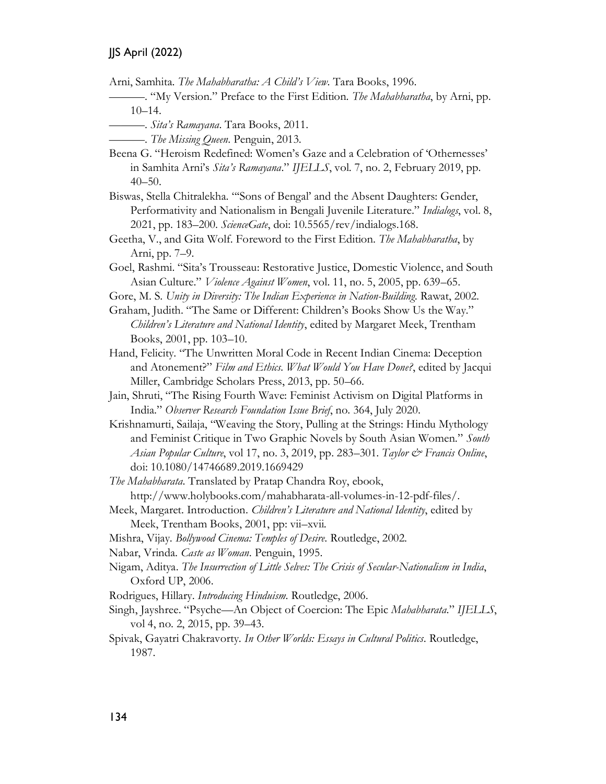Arni, Samhita. *The Mahabharatha: A Child's View*. Tara Books, 1996.

- ———. "My Version." Preface to the First Edition. *The Mahabharatha*, by Arni, pp. 10–14.
	- ———. *Sita's Ramayana*. Tara Books, 2011.
		- ———. *The Missing Queen*. Penguin, 2013.
- Beena G. "Heroism Redefined: Women's Gaze and a Celebration of 'Othernesses' in Samhita Arni's *Sita's Ramayana*." *IJELLS*, vol. 7, no. 2, February 2019, pp. 40–50.
- Biswas, Stella Chitralekha. "'Sons of Bengal' and the Absent Daughters: Gender, Performativity and Nationalism in Bengali Juvenile Literature." *Indialogs*, vol. 8, 2021, pp. 183–200. *ScienceGate*, doi: 10.5565/rev/indialogs.168.
- Geetha, V., and Gita Wolf. Foreword to the First Edition. *The Mahabharatha*, by Arni, pp. 7–9.
- Goel, Rashmi. "Sita's Trousseau: Restorative Justice, Domestic Violence, and South Asian Culture." *Violence Against Women*, vol. 11, no. 5, 2005, pp. 639–65.
- Gore, M. S. *Unity in Diversity: The Indian Experience in Nation-Building*. Rawat, 2002.
- Graham, Judith. "The Same or Different: Children's Books Show Us the Way." *Children's Literature and National Identity*, edited by Margaret Meek, Trentham Books, 2001, pp. 103–10.
- Hand, Felicity. "The Unwritten Moral Code in Recent Indian Cinema: Deception and Atonement?" *Film and Ethics. What Would You Have Done?*, edited by Jacqui Miller, Cambridge Scholars Press, 2013, pp. 50–66.
- Jain, Shruti, "The Rising Fourth Wave: Feminist Activism on Digital Platforms in India." *Observer Research Foundation Issue Brief*, no. 364, July 2020.
- Krishnamurti, Sailaja, "Weaving the Story, Pulling at the Strings: Hindu Mythology and Feminist Critique in Two Graphic Novels by South Asian Women." *South Asian Popular Culture*, vol 17, no. 3, 2019, pp. 283–301. *Taylor & Francis Online*, doi: 10.1080/14746689.2019.1669429
- *The Mahabharata*. Translated by Pratap Chandra Roy, ebook,
- http://www.holybooks.com/mahabharata-all-volumes-in-12-pdf-files/.
- Meek, Margaret. Introduction. *Children's Literature and National Identity*, edited by Meek, Trentham Books, 2001, pp: vii–xvii.
- Mishra, Vijay. *Bollywood Cinema: Temples of Desire*. Routledge, 2002.
- Nabar, Vrinda. *Caste as Woman*. Penguin, 1995.
- Nigam, Aditya. *The Insurrection of Little Selves: The Crisis of Secular-Nationalism in India*, Oxford UP, 2006.
- Rodrigues, Hillary. *Introducing Hinduism*. Routledge, 2006.
- Singh, Jayshree. "Psyche—An Object of Coercion: The Epic *Mahabharata*." *IJELLS*, vol 4, no. 2, 2015, pp. 39–43.
- Spivak, Gayatri Chakravorty. *In Other Worlds: Essays in Cultural Politics*. Routledge, 1987.